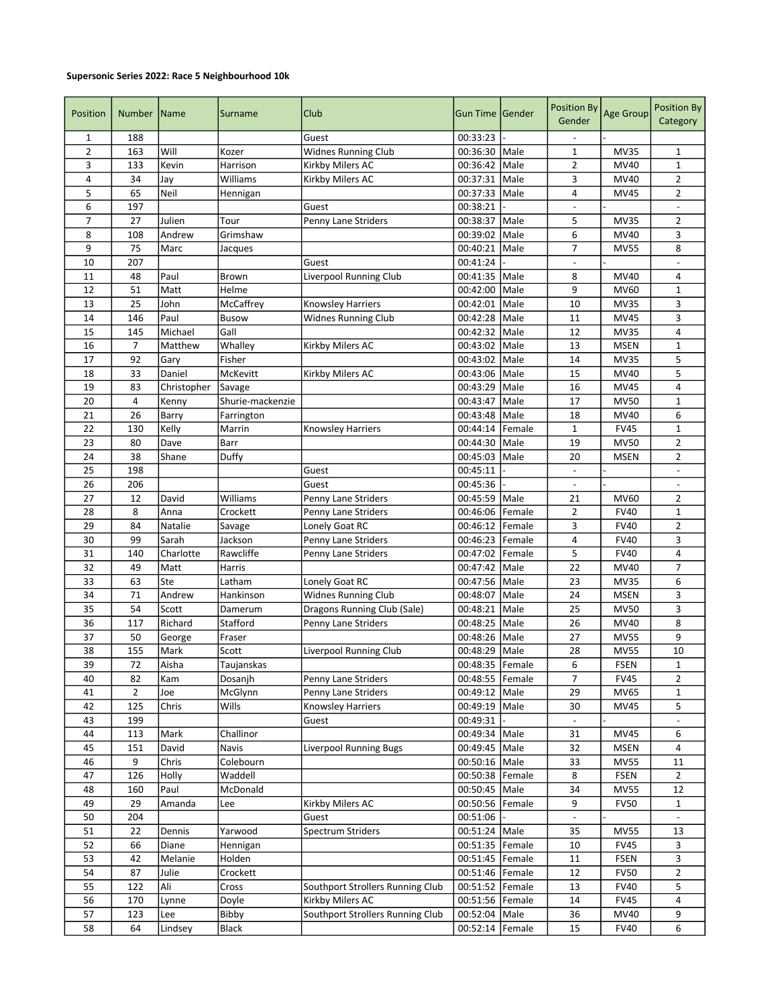## Supersonic Series 2022: Race 5 Neighbourhood 10k

| Position        | Number          | Name        | Surname          | Club                             | Gun Time Gender   |        | <b>Position By</b><br>Gender | Age Group   | Position By<br>Category  |
|-----------------|-----------------|-------------|------------------|----------------------------------|-------------------|--------|------------------------------|-------------|--------------------------|
| 1               | 188             |             |                  | Guest                            | 00:33:23          |        |                              |             |                          |
| 2               | 163             | Will        | Kozer            | <b>Widnes Running Club</b>       | 00:36:30          | Male   | 1                            | <b>MV35</b> | 1                        |
| 3               | 133             | Kevin       | Harrison         | Kirkby Milers AC                 | 00:36:42          | Male   | $\overline{2}$               | MV40        | $\mathbf 1$              |
| 4               | 34              | Jay         | Williams         | Kirkby Milers AC                 | 00:37:31          | Male   | 3                            | MV40        | $\overline{2}$           |
| 5               | 65              | Neil        | Hennigan         |                                  | 00:37:33          | Male   | 4                            | <b>MV45</b> | $\overline{2}$           |
| 6               | 197             |             |                  | Guest                            | 00:38:21          |        | $\overline{\phantom{a}}$     |             | $\overline{a}$           |
| 7               | 27              | Julien      | Tour             | Penny Lane Striders              | 00:38:37          | Male   | 5                            | <b>MV35</b> | $\overline{2}$           |
| 8               | 108             | Andrew      | Grimshaw         |                                  | 00:39:02          | Male   | 6                            | MV40        | 3                        |
| 9               | 75              | Marc        | Jacques          |                                  | 00:40:21          | Male   | $\overline{7}$               | <b>MV55</b> | 8                        |
| 10              | 207             |             |                  | Guest                            | 00:41:24          |        |                              |             |                          |
| 11              | 48              | Paul        | Brown            | Liverpool Running Club           | 00:41:35          | Male   | 8                            | MV40        | 4                        |
| 12              | 51              | Matt        | Helme            |                                  | 00:42:00          | Male   | 9                            | MV60        | $\mathbf{1}$             |
| 13              | 25              | John        | McCaffrey        | <b>Knowsley Harriers</b>         | 00:42:01          | Male   | 10                           | <b>MV35</b> | 3                        |
| 14              | 146             | Paul        | Busow            | Widnes Running Club              | 00:42:28          | Male   | 11                           | MV45        | 3                        |
| 15              | 145             | Michael     | Gall             |                                  | 00:42:32          | Male   | 12                           | <b>MV35</b> | 4                        |
| 16              | $\overline{7}$  | Matthew     | Whalley          | Kirkby Milers AC                 | 00:43:02          | Male   | 13                           | <b>MSEN</b> | $\mathbf 1$              |
| 17              | 92              | Gary        | Fisher           |                                  | 00:43:02          | Male   | 14                           | <b>MV35</b> | 5                        |
| 18              | 33              | Daniel      | McKevitt         | Kirkby Milers AC                 | 00:43:06          | Male   | 15                           | MV40        | 5                        |
| 19              | 83              | Christopher | Savage           |                                  | 00:43:29          | Male   | 16                           | <b>MV45</b> | 4                        |
| 20              | 4               | Kenny       | Shurie-mackenzie |                                  | 00:43:47          | Male   | 17                           | <b>MV50</b> | $\mathbf 1$              |
| 21              | 26              | Barry       | Farrington       |                                  | 00:43:48          | Male   | 18                           | MV40        | 6                        |
| 22              | 130             | Kelly       | Marrin           | <b>Knowsley Harriers</b>         | 00:44:14          | Female | $\mathbf 1$                  | <b>FV45</b> | $\mathbf 1$              |
| 23              | 80              | Dave        | Barr             |                                  | 00:44:30          | Male   | 19                           | <b>MV50</b> | $\overline{2}$           |
| 24              | 38              | Shane       | Duffy            |                                  | 00:45:03          | Male   | 20                           | <b>MSEN</b> | $\overline{2}$           |
| 25              | 198             |             |                  | Guest                            | 00:45:11          |        | $\overline{\phantom{a}}$     |             | $\overline{\phantom{a}}$ |
| 26              | 206             |             |                  | Guest                            | 00:45:36          |        |                              |             |                          |
| 27              | 12              | David       | Williams         | Penny Lane Striders              | 00:45:59          | Male   | 21                           | <b>MV60</b> | 2                        |
| 28              | 8               | Anna        | Crockett         | Penny Lane Striders              | 00:46:06          | Female | $\overline{2}$               | <b>FV40</b> | $\mathbf 1$              |
| 29              | 84              | Natalie     | Savage           | Lonely Goat RC                   | 00:46:12          | Female | 3                            | <b>FV40</b> | $\overline{2}$           |
| 30              | 99              | Sarah       | Jackson          | Penny Lane Striders              | 00:46:23          | Female | 4                            | <b>FV40</b> | 3                        |
| 31              | 140             | Charlotte   | Rawcliffe        | Penny Lane Striders              | 00:47:02          | Female | 5                            | <b>FV40</b> | 4                        |
| 32              | 49              | Matt        | Harris           |                                  | 00:47:42          | Male   | 22                           | MV40        | $\overline{7}$           |
| 33              | 63              | Ste         | Latham           | Lonely Goat RC                   | 00:47:56          | Male   | 23                           | <b>MV35</b> | 6                        |
| 34              | 71              | Andrew      | Hankinson        | Widnes Running Club              | 00:48:07          | Male   | 24                           | <b>MSEN</b> | 3                        |
| 35              | 54              | Scott       | Damerum          | Dragons Running Club (Sale)      | 00:48:21          | Male   | 25                           | <b>MV50</b> | 3                        |
| 36              | 117             | Richard     | Stafford         | Penny Lane Striders              | 00:48:25          | Male   | 26                           | MV40        | 8                        |
| 37              | 50              | George      | Fraser           |                                  | 00:48:26          | Male   | 27                           | <b>MV55</b> | 9                        |
| 38              | 155             | Mark        | Scott            | Liverpool Running Club           | 00:48:29 Male     |        | 28                           | <b>MV55</b> | 10                       |
| $\overline{39}$ | $\overline{72}$ | Aisha       | Taujanskas       |                                  | 00:48:35 Female   |        | 6                            | FSEN        | $\mathbf{1}$             |
| 40              | 82              | Kam         | Dosanjh          | Penny Lane Striders              | 00:48:55   Female |        | 7                            | <b>FV45</b> | $\overline{2}$           |
| 41              | 2               | Joe         | McGlynn          | Penny Lane Striders              | 00:49:12          | Male   | 29                           | MV65        | 1                        |
| 42              | 125             | Chris       | Wills            | Knowsley Harriers                | 00:49:19 Male     |        | 30                           | MV45        | 5                        |
| 43              | 199             |             |                  | Guest                            | 00:49:31          |        |                              |             |                          |
| 44              | 113             | Mark        | Challinor        |                                  | 00:49:34 Male     |        | 31                           | <b>MV45</b> | 6                        |
| 45              | 151             | David       | Navis            | Liverpool Running Bugs           | 00:49:45 Male     |        | 32                           | <b>MSEN</b> | 4                        |
| 46              | 9               | Chris       | Colebourn        |                                  | 00:50:16 Male     |        | 33                           | <b>MV55</b> | 11                       |
| 47              | 126             | Holly       | Waddell          |                                  | 00:50:38   Female |        | 8                            | <b>FSEN</b> | 2                        |
| 48              | 160             | Paul        | McDonald         |                                  | 00:50:45 Male     |        | 34                           | <b>MV55</b> | 12                       |
| 49              | 29              | Amanda      | Lee              | Kirkby Milers AC                 | 00:50:56 Female   |        | 9                            | <b>FV50</b> | $\mathbf{1}$             |
| 50              | 204             |             |                  | Guest                            | 00:51:06          |        | $\overline{\phantom{a}}$     |             | $\Box$                   |
| 51              | 22              | Dennis      | Yarwood          | <b>Spectrum Striders</b>         | 00:51:24 Male     |        | 35                           | <b>MV55</b> | 13                       |
| 52              | 66              | Diane       | Hennigan         |                                  | 00:51:35   Female |        | 10                           | <b>FV45</b> | 3                        |
| 53              | 42              | Melanie     | Holden           |                                  | 00:51:45   Female |        | 11                           | <b>FSEN</b> | 3                        |
| 54              | 87              | Julie       | Crockett         |                                  | 00:51:46   Female |        | 12                           | <b>FV50</b> | $\overline{2}$           |
| 55              | 122             | Ali         | Cross            | Southport Strollers Running Club | 00:51:52 Female   |        | 13                           | <b>FV40</b> | 5                        |
| 56              | 170             | Lynne       | Doyle            | Kirkby Milers AC                 | 00:51:56 Female   |        | 14                           | <b>FV45</b> | 4                        |
| 57              | 123             | Lee         | Bibby            | Southport Strollers Running Club | 00:52:04 Male     |        | 36                           | <b>MV40</b> | 9                        |
| 58              | 64              | Lindsey     | Black            |                                  | 00:52:14          | Female | 15                           | <b>FV40</b> | 6                        |
|                 |                 |             |                  |                                  |                   |        |                              |             |                          |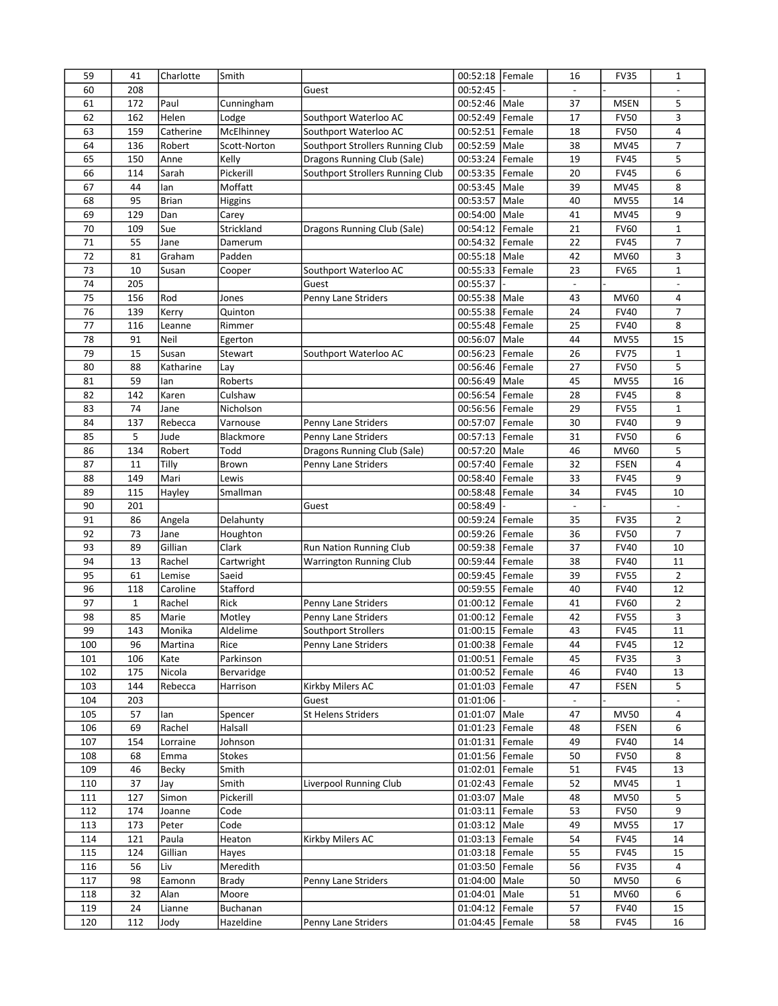| 59         | 41           | Charlotte    | Smith         |                                  | 00:52:18   Female    |                | 16                       | <b>FV35</b> | $\mathbf{1}$             |
|------------|--------------|--------------|---------------|----------------------------------|----------------------|----------------|--------------------------|-------------|--------------------------|
| 60         | 208          |              |               | Guest                            | 00:52:45             |                |                          |             |                          |
| 61         | 172          | Paul         | Cunningham    |                                  | 00:52:46 Male        |                | 37                       | <b>MSEN</b> | 5                        |
| 62         | 162          | Helen        | Lodge         | Southport Waterloo AC            | 00:52:49             | Female         | 17                       | <b>FV50</b> | 3                        |
| 63         | 159          | Catherine    | McElhinney    | Southport Waterloo AC            | 00:52:51             | Female         | 18                       | <b>FV50</b> | 4                        |
| 64         | 136          | Robert       | Scott-Norton  | Southport Strollers Running Club | 00:52:59             | Male           | 38                       | <b>MV45</b> | 7                        |
| 65         | 150          | Anne         | Kelly         | Dragons Running Club (Sale)      | 00:53:24             | Female         | 19                       | <b>FV45</b> | 5                        |
| 66         | 114          | Sarah        | Pickerill     | Southport Strollers Running Club | 00:53:35             | Female         | 20                       | <b>FV45</b> | 6                        |
| 67         | 44           | lan          | Moffatt       |                                  | 00:53:45             | Male           | 39                       | <b>MV45</b> | 8                        |
| 68         | 95           | <b>Brian</b> | Higgins       |                                  | 00:53:57             | Male           | 40                       | <b>MV55</b> | 14                       |
| 69         | 129          | Dan          | Carey         |                                  | 00:54:00             | Male           | 41                       | <b>MV45</b> | 9                        |
| 70         | 109          | Sue          | Strickland    | Dragons Running Club (Sale)      | 00:54:12             | Female         | 21                       | <b>FV60</b> | $1\,$                    |
| 71         | 55           | Jane         | Damerum       |                                  | 00:54:32             | Female         | 22                       | <b>FV45</b> | 7                        |
| 72         | 81           |              |               |                                  |                      |                |                          |             |                          |
|            |              | Graham       | Padden        |                                  | 00:55:18             | Male           | 42                       | MV60        | 3                        |
| 73         | 10           | Susan        | Cooper        | Southport Waterloo AC            | 00:55:33             | Female         | 23                       | <b>FV65</b> | $\mathbf 1$              |
| 74         | 205          |              |               | Guest                            | 00:55:37             |                | $\overline{\phantom{a}}$ |             | $\overline{\phantom{a}}$ |
| 75         | 156          | Rod          | Jones         | Penny Lane Striders              | 00:55:38 Male        |                | 43                       | MV60        | 4                        |
| 76         | 139          | Kerry        | Quinton       |                                  | 00:55:38             | Female         | 24                       | <b>FV40</b> | 7                        |
| 77         | 116          | Leanne       | Rimmer        |                                  | 00:55:48             | Female         | 25                       | <b>FV40</b> | 8                        |
| 78         | 91           | Neil         | Egerton       |                                  | 00:56:07             | Male           | 44                       | <b>MV55</b> | 15                       |
| 79         | 15           | Susan        | Stewart       | Southport Waterloo AC            | 00:56:23             | Female         | 26                       | <b>FV75</b> | $1\,$                    |
| 80         | 88           | Katharine    | Lay           |                                  | 00:56:46             | Female         | 27                       | <b>FV50</b> | 5                        |
| 81         | 59           | lan          | Roberts       |                                  | 00:56:49             | Male           | 45                       | <b>MV55</b> | 16                       |
| 82         | 142          | Karen        | Culshaw       |                                  | 00:56:54             | Female         | 28                       | <b>FV45</b> | 8                        |
| 83         | 74           | Jane         | Nicholson     |                                  | 00:56:56 Female      |                | 29                       | <b>FV55</b> | $\mathbf{1}$             |
| 84         | 137          | Rebecca      | Varnouse      | Penny Lane Striders              | 00:57:07             | Female         | 30                       | <b>FV40</b> | 9                        |
| 85         | 5            | Jude         | Blackmore     | Penny Lane Striders              | 00:57:13             | Female         | 31                       | <b>FV50</b> | 6                        |
| 86         | 134          | Robert       | Todd          | Dragons Running Club (Sale)      | 00:57:20             | Male           | 46                       | MV60        | 5                        |
| 87         | 11           | Tilly        | Brown         | Penny Lane Striders              | 00:57:40             | Female         | 32                       | <b>FSEN</b> | 4                        |
| 88         | 149          | Mari         | Lewis         |                                  | 00:58:40             | Female         | 33                       | <b>FV45</b> | 9                        |
| 89         | 115          | Hayley       | Smallman      |                                  | 00:58:48             | Female         | 34                       | <b>FV45</b> | 10                       |
| 90         | 201          |              |               | Guest                            | 00:58:49             |                | $\blacksquare$           |             | $\overline{\phantom{a}}$ |
| 91         | 86           | Angela       | Delahunty     |                                  | 00:59:24 Female      |                | 35                       | <b>FV35</b> | $\overline{2}$           |
| 92         | 73           | Jane         | Houghton      |                                  | 00:59:26             | Female         | 36                       | <b>FV50</b> | $\overline{7}$           |
| 93         | 89           | Gillian      | Clark         | Run Nation Running Club          | 00:59:38             | Female         | 37                       | <b>FV40</b> | 10                       |
| 94         | 13           | Rachel       | Cartwright    | <b>Warrington Running Club</b>   | 00:59:44             | Female         | 38                       | <b>FV40</b> | 11                       |
| 95         | 61           | Lemise       | Saeid         |                                  | 00:59:45             | Female         | 39                       | <b>FV55</b> | $\overline{2}$           |
| 96         | 118          | Caroline     | Stafford      |                                  | 00:59:55             | Female         | 40                       | <b>FV40</b> | 12                       |
| 97         | $\mathbf{1}$ | Rachel       | Rick          | Penny Lane Striders              | 01:00:12             | Female         | 41                       | <b>FV60</b> | $\overline{2}$           |
| 98         | 85           | Marie        | Motley        | Penny Lane Striders              | 01:00:12             | Female         | 42                       | <b>FV55</b> | 3                        |
| 99         | 143          | Monika       | Aldelime      | Southport Strollers              | 01:00:15 Female      |                | 43                       | <b>FV45</b> | 11                       |
| 100        | 96           | Martina      | Rice          | Penny Lane Striders              | 01:00:38   Female    |                | 44                       | <b>FV45</b> | 12                       |
| 101        | 106          | Kate         | Parkinson     |                                  | 01:00:51             | Female         | 45                       | <b>FV35</b> | 3                        |
| 102        | 175          | Nicola       | Bervaridge    |                                  | 01:00:52             | Female         | 46                       | <b>FV40</b> | 13                       |
| 103        | 144          | Rebecca      | Harrison      | Kirkby Milers AC                 | 01:01:03             | Female         | 47                       | <b>FSEN</b> | 5                        |
| 104        | 203          |              |               | Guest                            | 01:01:06             |                |                          |             |                          |
| 105        | 57           | lan          | Spencer       | <b>St Helens Striders</b>        | 01:01:07             | Male           | 47                       | <b>MV50</b> | 4                        |
| 106        | 69           | Rachel       | Halsall       |                                  | 01:01:23             | Female         | 48                       | <b>FSEN</b> | 6                        |
| 107        | 154          | Lorraine     | Johnson       |                                  | 01:01:31             | Female         | 49                       | <b>FV40</b> | 14                       |
| 108        | 68           | Emma         | <b>Stokes</b> |                                  | 01:01:56 Female      |                | 50                       | <b>FV50</b> | 8                        |
| 109        | 46           | Becky        | Smith         |                                  | 01:02:01             | Female         | 51                       | <b>FV45</b> | 13                       |
|            | 37           |              | Smith         | Liverpool Running Club           |                      |                | 52                       | <b>MV45</b> |                          |
| 110<br>111 |              | Jay<br>Simon | Pickerill     |                                  | 01:02:43<br>01:03:07 | Female<br>Male | 48                       | <b>MV50</b> | 1                        |
|            | 127          |              |               |                                  |                      |                |                          |             | 5<br>9                   |
| 112        | 174          | Joanne       | Code          |                                  | 01:03:11             | Female         | 53                       | <b>FV50</b> |                          |
| 113        | 173          | Peter        | Code          |                                  | 01:03:12             | Male           | 49                       | <b>MV55</b> | 17                       |
| 114        | 121          | Paula        | Heaton        | Kirkby Milers AC                 | 01:03:13             | Female         | 54                       | <b>FV45</b> | 14                       |
| 115        | 124          | Gillian      | Hayes         |                                  | 01:03:18             | Female         | 55                       | <b>FV45</b> | 15                       |
| 116        | 56           | Liv          | Meredith      |                                  | 01:03:50             | Female         | 56                       | <b>FV35</b> | 4                        |
| 117        | 98           | Eamonn       | Brady         | Penny Lane Striders              | 01:04:00             | Male           | 50                       | <b>MV50</b> | 6                        |
| 118        | 32           | Alan         | Moore         |                                  | 01:04:01             | Male           | 51                       | MV60        | 6                        |
| 119        | 24           | Lianne       | Buchanan      |                                  | 01:04:12             | Female         | 57                       | <b>FV40</b> | 15                       |
| 120        | 112          | Jody         | Hazeldine     | Penny Lane Striders              | 01:04:45             | Female         | 58                       | <b>FV45</b> | 16                       |